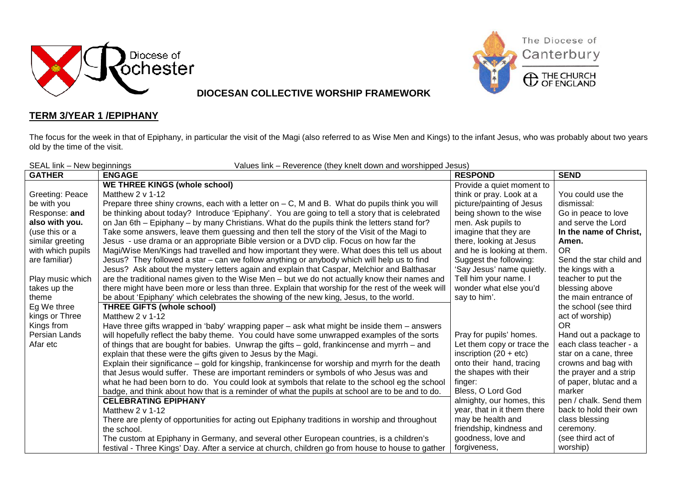



## **DIOCESAN COLLECTIVE WORSHIP FRAMEWORK**

## **TERM 3/YEAR 1 /EPIPHANY**

The focus for the week in that of Epiphany, in particular the visit of the Magi (also referred to as Wise Men and Kings) to the infant Jesus, who was probably about two years old by the time of the visit.

| SEAL link - New beginnings<br>Values link - Reverence (they knelt down and worshipped Jesus) |                                                                                                   |                             |                         |  |  |
|----------------------------------------------------------------------------------------------|---------------------------------------------------------------------------------------------------|-----------------------------|-------------------------|--|--|
| <b>GATHER</b>                                                                                | <b>ENGAGE</b>                                                                                     | <b>RESPOND</b>              | <b>SEND</b>             |  |  |
|                                                                                              | <b>WE THREE KINGS (whole school)</b>                                                              | Provide a quiet moment to   |                         |  |  |
| Greeting: Peace                                                                              | Matthew 2 v 1-12                                                                                  | think or pray. Look at a    | You could use the       |  |  |
| be with you                                                                                  | Prepare three shiny crowns, each with a letter on $-$ C, M and B. What do pupils think you will   | picture/painting of Jesus   | dismissal:              |  |  |
| Response: and                                                                                | be thinking about today? Introduce 'Epiphany'. You are going to tell a story that is celebrated   | being shown to the wise     | Go in peace to love     |  |  |
| also with you.                                                                               | on Jan 6th – Epiphany – by many Christians. What do the pupils think the letters stand for?       | men. Ask pupils to          | and serve the Lord      |  |  |
| (use this or a                                                                               | Take some answers, leave them guessing and then tell the story of the Visit of the Magi to        | imagine that they are       | In the name of Christ,  |  |  |
| similar greeting                                                                             | Jesus - use drama or an appropriate Bible version or a DVD clip. Focus on how far the             | there, looking at Jesus     | Amen.                   |  |  |
| with which pupils                                                                            | Magi/Wise Men/Kings had travelled and how important they were. What does this tell us about       | and he is looking at them.  | <b>OR</b>               |  |  |
| are familiar)                                                                                | Jesus? They followed a star – can we follow anything or anybody which will help us to find        | Suggest the following:      | Send the star child and |  |  |
|                                                                                              | Jesus? Ask about the mystery letters again and explain that Caspar, Melchior and Balthasar        | 'Say Jesus' name quietly.   | the kings with a        |  |  |
| Play music which                                                                             | are the traditional names given to the Wise Men – but we do not actually know their names and     | Tell him your name. I       | teacher to put the      |  |  |
| takes up the                                                                                 | there might have been more or less than three. Explain that worship for the rest of the week will | wonder what else you'd      | blessing above          |  |  |
| theme                                                                                        | be about 'Epiphany' which celebrates the showing of the new king, Jesus, to the world.            | say to him'.                | the main entrance of    |  |  |
| Eg We three                                                                                  | <b>THREE GIFTS (whole school)</b>                                                                 |                             | the school (see third   |  |  |
| kings or Three                                                                               | Matthew $2 \vee 1-12$                                                                             |                             | act of worship)         |  |  |
| Kings from                                                                                   | Have three gifts wrapped in 'baby' wrapping paper – ask what might be inside them – answers       |                             | <b>OR</b>               |  |  |
| Persian Lands                                                                                | will hopefully reflect the baby theme. You could have some unwrapped examples of the sorts        | Pray for pupils' homes.     | Hand out a package to   |  |  |
| Afar etc                                                                                     | of things that are bought for babies. Unwrap the gifts – gold, frankincense and myrrh – and       | Let them copy or trace the  | each class teacher - a  |  |  |
|                                                                                              | explain that these were the gifts given to Jesus by the Magi.                                     | inscription $(20 + etc)$    | star on a cane, three   |  |  |
|                                                                                              | Explain their significance - gold for kingship, frankincense for worship and myrrh for the death  | onto their hand, tracing    | crowns and bag with     |  |  |
|                                                                                              | that Jesus would suffer. These are important reminders or symbols of who Jesus was and            | the shapes with their       | the prayer and a strip  |  |  |
|                                                                                              | what he had been born to do. You could look at symbols that relate to the school eg the school    | finger:                     | of paper, blutac and a  |  |  |
|                                                                                              | badge, and think about how that is a reminder of what the pupils at school are to be and to do.   | Bless, O Lord God           | marker                  |  |  |
|                                                                                              | <b>CELEBRATING EPIPHANY</b>                                                                       | almighty, our homes, this   | pen / chalk. Send them  |  |  |
|                                                                                              | Matthew $2 \vee 1-12$                                                                             | year, that in it them there | back to hold their own  |  |  |
|                                                                                              | There are plenty of opportunities for acting out Epiphany traditions in worship and throughout    | may be health and           | class blessing          |  |  |
|                                                                                              | the school.                                                                                       | friendship, kindness and    | ceremony.               |  |  |
|                                                                                              | The custom at Epiphany in Germany, and several other European countries, is a children's          | goodness, love and          | (see third act of       |  |  |
|                                                                                              | festival - Three Kings' Day. After a service at church, children go from house to house to gather | forgiveness,                | worship)                |  |  |